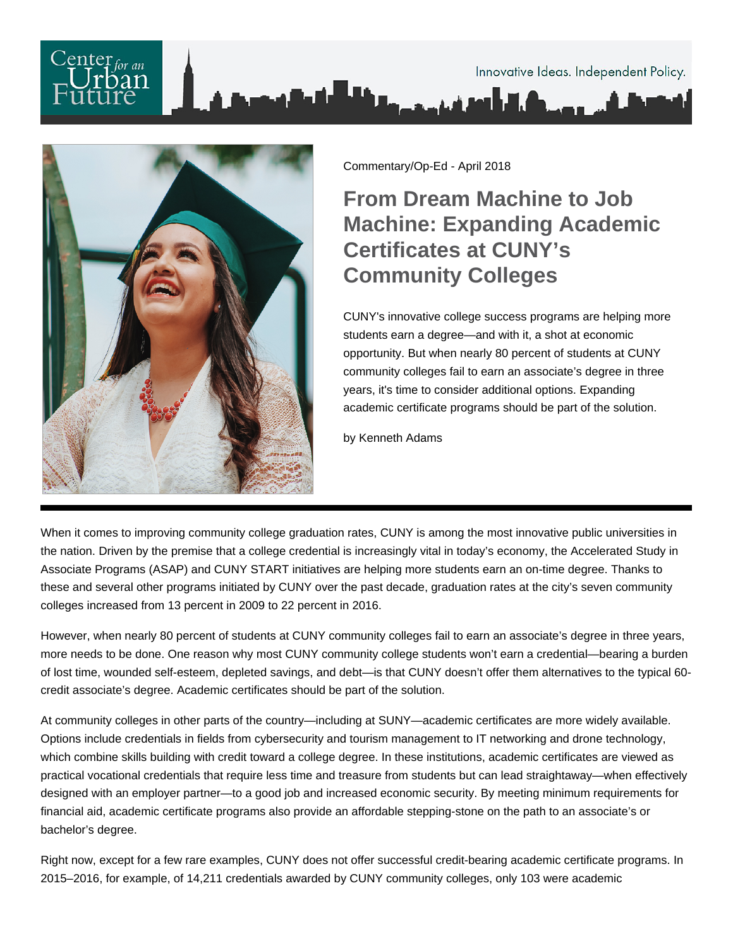## $LCI$  for an Innovative Ideas. Independent Policy. الأأهم فري



Commentary/Op-Ed - April 2018

## **From Dream Machine to Job Machine: Expanding Academic Certificates at CUNY's Community Colleges**

CUNY's innovative college success programs are helping more students earn a degree—and with it, a shot at economic opportunity. But when nearly 80 percent of students at CUNY community colleges fail to earn an associate's degree in three years, it's time to consider additional options. Expanding academic certificate programs should be part of the solution.

by Kenneth Adams

When it comes to improving community college graduation rates, CUNY is among the most innovative public universities in the nation. Driven by the premise that a college credential is increasingly vital in today's economy, the Accelerated Study in Associate Programs (ASAP) and CUNY START initiatives are helping more students earn an on-time degree. Thanks to these and several other programs initiated by CUNY over the past decade, graduation rates at the city's seven community colleges increased from 13 percent in 2009 to 22 percent in 2016.

However, when nearly 80 percent of students at CUNY community colleges fail to earn an associate's degree in three years, more needs to be done. One reason why most CUNY community college students won't earn a credential—bearing a burden of lost time, wounded self-esteem, depleted savings, and debt—is that CUNY doesn't offer them alternatives to the typical 60 credit associate's degree. Academic certificates should be part of the solution.

At community colleges in other parts of the country—including at SUNY—academic certificates are more widely available. Options include credentials in fields from cybersecurity and tourism management to IT networking and drone technology, which combine skills building with credit toward a college degree. In these institutions, academic certificates are viewed as practical vocational credentials that require less time and treasure from students but can lead straightaway—when effectively designed with an employer partner—to a good job and increased economic security. By meeting minimum requirements for financial aid, academic certificate programs also provide an affordable stepping-stone on the path to an associate's or bachelor's degree.

Right now, except for a few rare examples, CUNY does not offer successful credit-bearing academic certificate programs. In 2015–2016, for example, of 14,211 credentials awarded by CUNY community colleges, only 103 were academic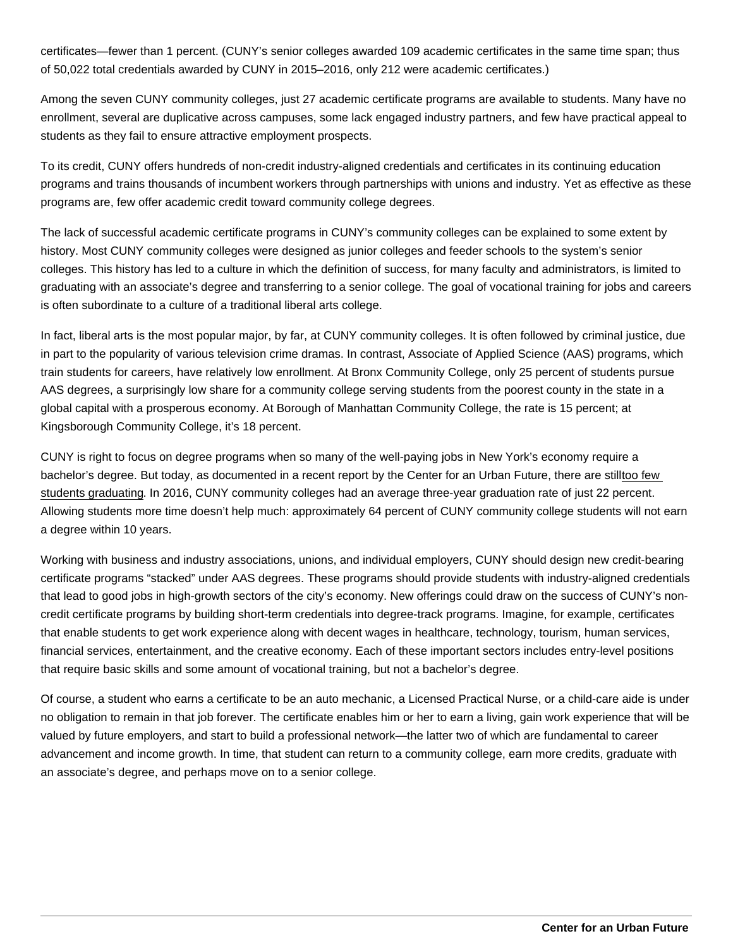certificates—fewer than 1 percent. (CUNY's senior colleges awarded 109 academic certificates in the same time span; thus of 50,022 total credentials awarded by CUNY in 2015–2016, only 212 were academic certificates.)

Among the seven CUNY community colleges, just 27 academic certificate programs are available to students. Many have no enrollment, several are duplicative across campuses, some lack engaged industry partners, and few have practical appeal to students as they fail to ensure attractive employment prospects.

To its credit, CUNY offers hundreds of non-credit industry-aligned credentials and certificates in its continuing education programs and trains thousands of incumbent workers through partnerships with unions and industry. Yet as effective as these programs are, few offer academic credit toward community college degrees.

The lack of successful academic certificate programs in CUNY's community colleges can be explained to some extent by history. Most CUNY community colleges were designed as junior colleges and feeder schools to the system's senior colleges. This history has led to a culture in which the definition of success, for many faculty and administrators, is limited to graduating with an associate's degree and transferring to a senior college. The goal of vocational training for jobs and careers is often subordinate to a culture of a traditional liberal arts college.

In fact, liberal arts is the most popular major, by far, at CUNY community colleges. It is often followed by criminal justice, due in part to the popularity of various television crime dramas. In contrast, Associate of Applied Science (AAS) programs, which train students for careers, have relatively low enrollment. At Bronx Community College, only 25 percent of students pursue AAS degrees, a surprisingly low share for a community college serving students from the poorest county in the state in a global capital with a prosperous economy. At Borough of Manhattan Community College, the rate is 15 percent; at Kingsborough Community College, it's 18 percent.

CUNY is right to focus on degree programs when so many of the well-paying jobs in New York's economy require a bachelor's degree. But today, as documented in a recent report by the Center for an Urban Future, there are still [too few](https://nycfuture.org/research/degrees-of-difficulty)  [students graduating.](https://nycfuture.org/research/degrees-of-difficulty) In 2016, CUNY community colleges had an average three-year graduation rate of just 22 percent. Allowing students more time doesn't help much: approximately 64 percent of CUNY community college students will not earn a degree within 10 years.

Working with business and industry associations, unions, and individual employers, CUNY should design new credit-bearing certificate programs "stacked" under AAS degrees. These programs should provide students with industry-aligned credentials that lead to good jobs in high-growth sectors of the city's economy. New offerings could draw on the success of CUNY's noncredit certificate programs by building short-term credentials into degree-track programs. Imagine, for example, certificates that enable students to get work experience along with decent wages in healthcare, technology, tourism, human services, financial services, entertainment, and the creative economy. Each of these important sectors includes entry-level positions that require basic skills and some amount of vocational training, but not a bachelor's degree.

Of course, a student who earns a certificate to be an auto mechanic, a Licensed Practical Nurse, or a child-care aide is under no obligation to remain in that job forever. The certificate enables him or her to earn a living, gain work experience that will be valued by future employers, and start to build a professional network—the latter two of which are fundamental to career advancement and income growth. In time, that student can return to a community college, earn more credits, graduate with an associate's degree, and perhaps move on to a senior college.